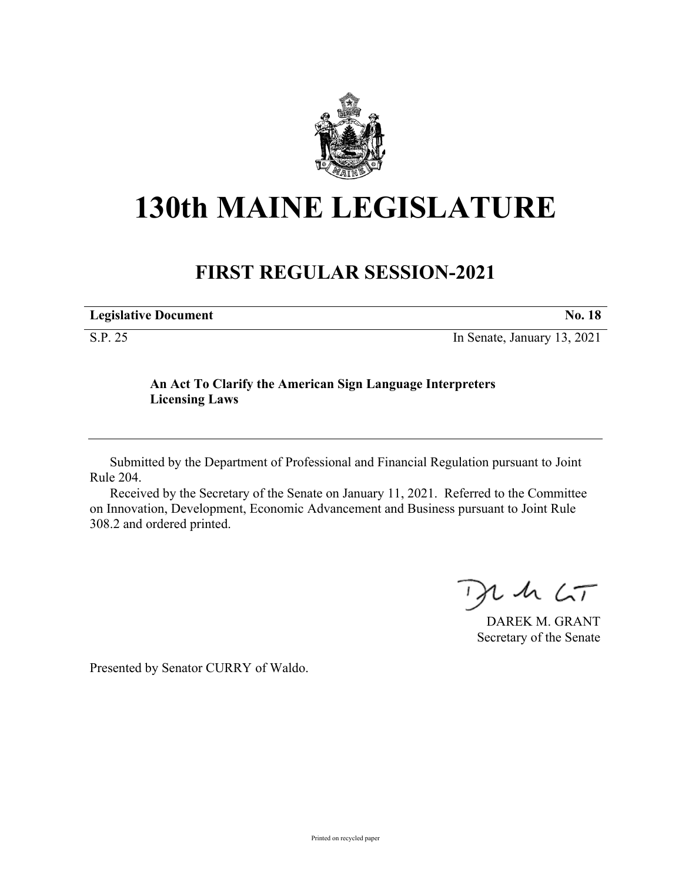

## **130th MAINE LEGISLATURE**

## **FIRST REGULAR SESSION-2021**

| <b>Legislative Document</b> | <b>No. 18</b>               |
|-----------------------------|-----------------------------|
| S.P. 25                     | In Senate, January 13, 2021 |

## **An Act To Clarify the American Sign Language Interpreters Licensing Laws**

Submitted by the Department of Professional and Financial Regulation pursuant to Joint Rule 204.

Received by the Secretary of the Senate on January 11, 2021. Referred to the Committee on Innovation, Development, Economic Advancement and Business pursuant to Joint Rule 308.2 and ordered printed.

 $425$ 

DAREK M. GRANT Secretary of the Senate

Presented by Senator CURRY of Waldo.